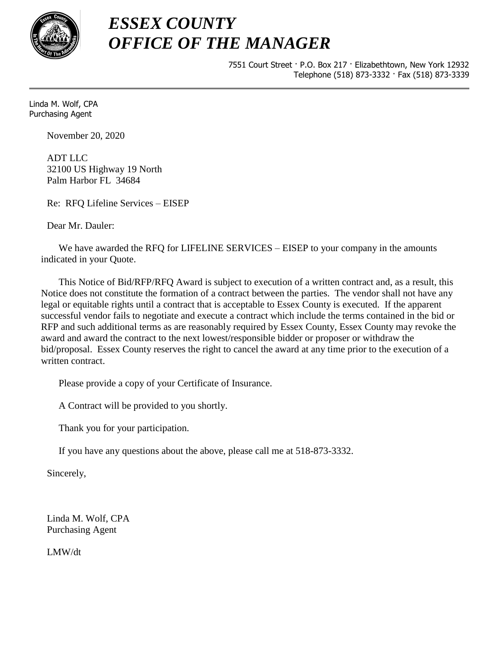

7551 Court Street · P.O. Box 217 · Elizabethtown, New York 12932 Telephone (518) 873-3332 · Fax (518) 873-3339

Linda M. Wolf, CPA Purchasing Agent

November 20, 2020

ADT LLC 32100 US Highway 19 North Palm Harbor FL 34684

Re: RFQ Lifeline Services – EISEP

Dear Mr. Dauler:

We have awarded the RFQ for LIFELINE SERVICES – EISEP to your company in the amounts indicated in your Quote.

This Notice of Bid/RFP/RFQ Award is subject to execution of a written contract and, as a result, this Notice does not constitute the formation of a contract between the parties. The vendor shall not have any legal or equitable rights until a contract that is acceptable to Essex County is executed. If the apparent successful vendor fails to negotiate and execute a contract which include the terms contained in the bid or RFP and such additional terms as are reasonably required by Essex County, Essex County may revoke the award and award the contract to the next lowest/responsible bidder or proposer or withdraw the bid/proposal. Essex County reserves the right to cancel the award at any time prior to the execution of a written contract.

Please provide a copy of your Certificate of Insurance.

A Contract will be provided to you shortly.

Thank you for your participation.

If you have any questions about the above, please call me at 518-873-3332.

Sincerely,

Linda M. Wolf, CPA Purchasing Agent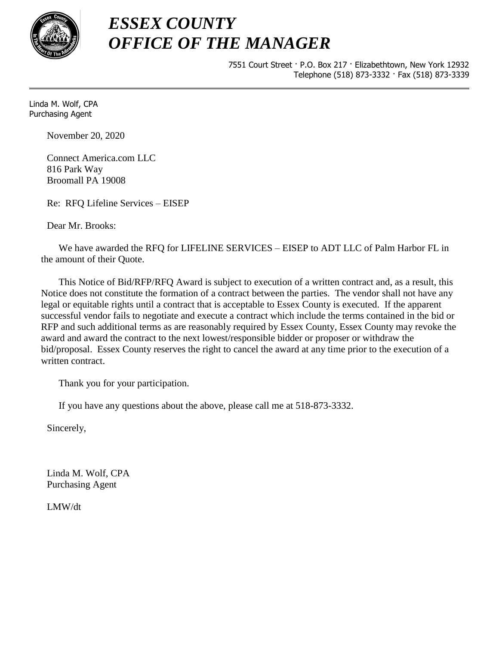

7551 Court Street · P.O. Box 217 · Elizabethtown, New York 12932 Telephone (518) 873-3332 · Fax (518) 873-3339

Linda M. Wolf, CPA Purchasing Agent

November 20, 2020

Connect America.com LLC 816 Park Way Broomall PA 19008

Re: RFQ Lifeline Services – EISEP

Dear Mr. Brooks:

We have awarded the RFQ for LIFELINE SERVICES – EISEP to ADT LLC of Palm Harbor FL in the amount of their Quote.

This Notice of Bid/RFP/RFQ Award is subject to execution of a written contract and, as a result, this Notice does not constitute the formation of a contract between the parties. The vendor shall not have any legal or equitable rights until a contract that is acceptable to Essex County is executed. If the apparent successful vendor fails to negotiate and execute a contract which include the terms contained in the bid or RFP and such additional terms as are reasonably required by Essex County, Essex County may revoke the award and award the contract to the next lowest/responsible bidder or proposer or withdraw the bid/proposal. Essex County reserves the right to cancel the award at any time prior to the execution of a written contract.

Thank you for your participation.

If you have any questions about the above, please call me at 518-873-3332.

Sincerely,

Linda M. Wolf, CPA Purchasing Agent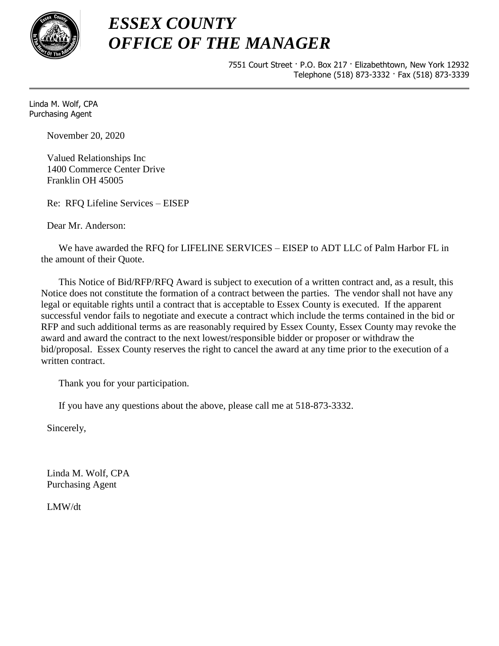

7551 Court Street · P.O. Box 217 · Elizabethtown, New York 12932 Telephone (518) 873-3332 · Fax (518) 873-3339

Linda M. Wolf, CPA Purchasing Agent

November 20, 2020

Valued Relationships Inc 1400 Commerce Center Drive Franklin OH 45005

Re: RFQ Lifeline Services – EISEP

Dear Mr. Anderson:

We have awarded the RFQ for LIFELINE SERVICES – EISEP to ADT LLC of Palm Harbor FL in the amount of their Quote.

This Notice of Bid/RFP/RFQ Award is subject to execution of a written contract and, as a result, this Notice does not constitute the formation of a contract between the parties. The vendor shall not have any legal or equitable rights until a contract that is acceptable to Essex County is executed. If the apparent successful vendor fails to negotiate and execute a contract which include the terms contained in the bid or RFP and such additional terms as are reasonably required by Essex County, Essex County may revoke the award and award the contract to the next lowest/responsible bidder or proposer or withdraw the bid/proposal. Essex County reserves the right to cancel the award at any time prior to the execution of a written contract.

Thank you for your participation.

If you have any questions about the above, please call me at 518-873-3332.

Sincerely,

Linda M. Wolf, CPA Purchasing Agent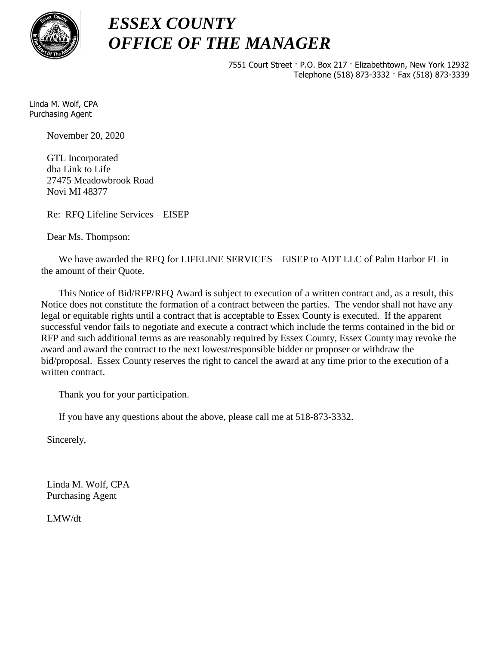

7551 Court Street · P.O. Box 217 · Elizabethtown, New York 12932 Telephone (518) 873-3332 · Fax (518) 873-3339

Linda M. Wolf, CPA Purchasing Agent

November 20, 2020

GTL Incorporated dba Link to Life 27475 Meadowbrook Road Novi MI 48377

Re: RFQ Lifeline Services – EISEP

Dear Ms. Thompson:

We have awarded the RFQ for LIFELINE SERVICES – EISEP to ADT LLC of Palm Harbor FL in the amount of their Quote.

This Notice of Bid/RFP/RFQ Award is subject to execution of a written contract and, as a result, this Notice does not constitute the formation of a contract between the parties. The vendor shall not have any legal or equitable rights until a contract that is acceptable to Essex County is executed. If the apparent successful vendor fails to negotiate and execute a contract which include the terms contained in the bid or RFP and such additional terms as are reasonably required by Essex County, Essex County may revoke the award and award the contract to the next lowest/responsible bidder or proposer or withdraw the bid/proposal. Essex County reserves the right to cancel the award at any time prior to the execution of a written contract.

Thank you for your participation.

If you have any questions about the above, please call me at 518-873-3332.

Sincerely,

Linda M. Wolf, CPA Purchasing Agent